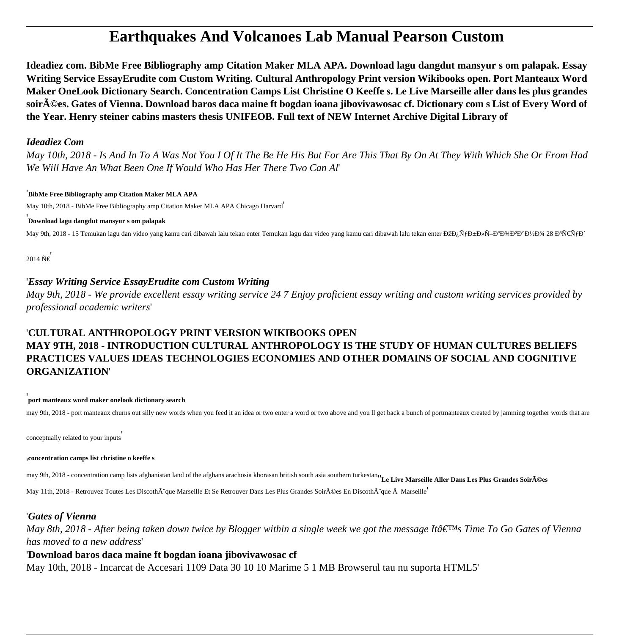# **Earthquakes And Volcanoes Lab Manual Pearson Custom**

**Ideadiez com. BibMe Free Bibliography amp Citation Maker MLA APA. Download lagu dangdut mansyur s om palapak. Essay Writing Service EssayErudite com Custom Writing. Cultural Anthropology Print version Wikibooks open. Port Manteaux Word Maker OneLook Dictionary Search. Concentration Camps List Christine O Keeffe s. Le Live Marseille aller dans les plus grandes** soir**A**©es. Gates of Vienna. Download baros daca maine ft bogdan ioana jibovivawosac cf. Dictionary com s List of Every Word of **the Year. Henry steiner cabins masters thesis UNIFEOB. Full text of NEW Internet Archive Digital Library of**

#### *Ideadiez Com*

*May 10th, 2018 - Is And In To A Was Not You I Of It The Be He His But For Are This That By On At They With Which She Or From Had We Will Have An What Been One If Would Who Has Her There Two Can Al*'

#### '**BibMe Free Bibliography amp Citation Maker MLA APA**

May 10th, 2018 - BibMe Free Bibliography amp Citation Maker MLA APA Chicago Harvard'

#### '**Download lagu dangdut mansyur s om palapak**

May 9th, 2018 - 15 Temukan lagu dan video yang kamu cari dibawah lalu tekan enter Temukan lagu dan video yang kamu cari dibawah lalu tekan enter ĐžĐ¿ÑfбĐ»Ñ-аĐ¼Đ°Đ½Đ¾ 28 ĐªÑ€ŇfĐ

 $2014 \tilde{N} \in$ 

### '*Essay Writing Service EssayErudite com Custom Writing*

*May 9th, 2018 - We provide excellent essay writing service 24 7 Enjoy proficient essay writing and custom writing services provided by professional academic writers*'

## '**CULTURAL ANTHROPOLOGY PRINT VERSION WIKIBOOKS OPEN MAY 9TH, 2018 - INTRODUCTION CULTURAL ANTHROPOLOGY IS THE STUDY OF HUMAN CULTURES BELIEFS PRACTICES VALUES IDEAS TECHNOLOGIES ECONOMIES AND OTHER DOMAINS OF SOCIAL AND COGNITIVE ORGANIZATION**'

#### '**port manteaux word maker onelook dictionary search**

may 9th, 2018 - port manteaux churns out silly new words when you feed it an idea or two enter a word or two above and you ll get back a bunch of portmanteaux created by jamming together words that are

conceptually related to your inputs'

#### '**concentration camps list christine o keeffe s**

may 9th, 2018 - concentration camp lists afghanistan land of the afghans arachosia khorasan british south asia southern turkestan<sub>''</sub> **Le Live Marseille Aller Dans Les Plus Grandes Soir**ées

May 11th, 2018 - Retrouvez Toutes Les Discoth $\tilde{A}$  que Marseille Et Se Retrouver Dans Les Plus Grandes Soir $\tilde{A}$ ©es En Discoth $\tilde{A}$  que  $\tilde{A}$  Marseille<sup>'</sup>

### '*Gates of Vienna*

*May 8th, 2018 - After being taken down twice by Blogger within a single week we got the message Itâ* Time To Go Gates of Vienna *has moved to a new address*'

### '**Download baros daca maine ft bogdan ioana jibovivawosac cf**

May 10th, 2018 - Incarcat de Accesari 1109 Data 30 10 10 Marime 5 1 MB Browserul tau nu suporta HTML5'